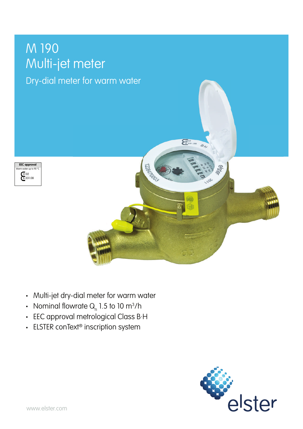# M 190 Multi-jet meter

## Dry-dial meter for warm water





- Multi-jet dry-dial meter for warm water
- Nominal flowrate  ${\sf Q}_{{}_{\sf n}}$  1.5 to 10 m $^3$ /h
- EEC approval metrological Class B·H
- ELSTER conText<sup>®</sup> inscription system